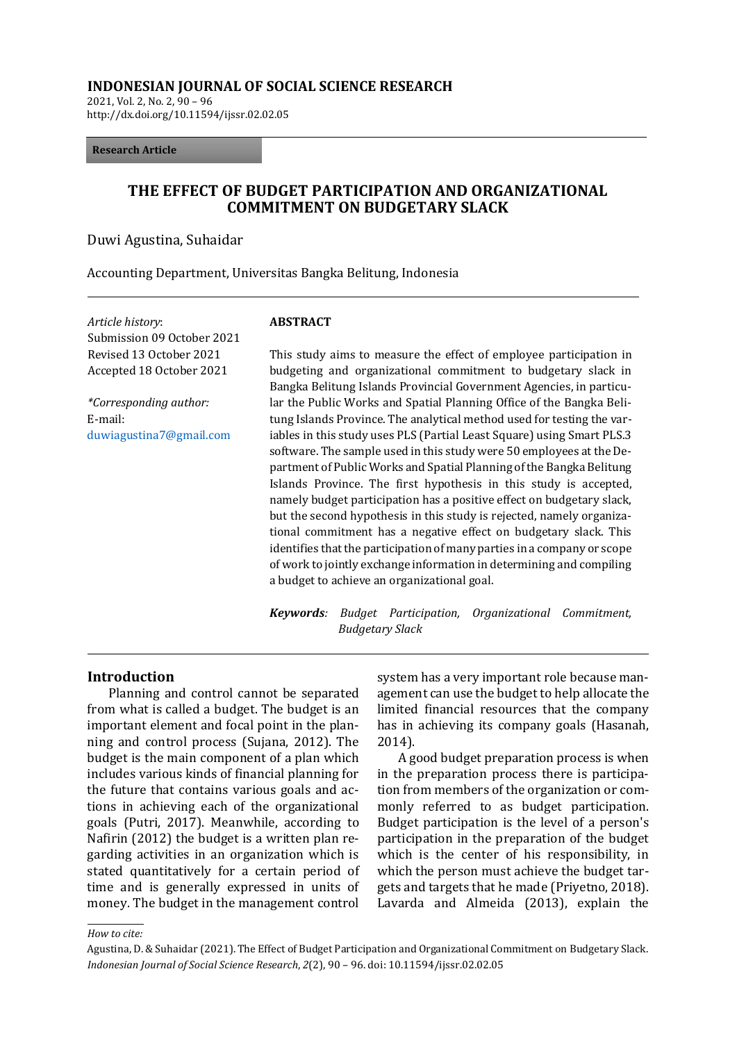#### **INDONESIAN JOURNAL OF SOCIAL SCIENCE RESEARCH**

2021, Vol. 2, No. 2, 90 – 96 http://dx.doi.org/10.11594/ijssr.02.02.05

#### **Research Article**

## **THE EFFECT OF BUDGET PARTICIPATION AND ORGANIZATIONAL COMMITMENT ON BUDGETARY SLACK**

Duwi Agustina, Suhaidar

Accounting Department, Universitas Bangka Belitung, Indonesia

*Article history*: Submission 09 October 2021 Revised 13 October 2021 Accepted 18 October 2021 **ABSTRACT** *\*Corresponding author:* E-mail: [duwiagustina7@gmail.com](mailto:duwiagustina7@gmail.com)

This study aims to measure the effect of employee participation in budgeting and organizational commitment to budgetary slack in Bangka Belitung Islands Provincial Government Agencies, in particular the Public Works and Spatial Planning Office of the Bangka Belitung Islands Province. The analytical method used for testing the variables in this study uses PLS (Partial Least Square) using Smart PLS.3 software. The sample used in this study were 50 employees at the Department of Public Works and Spatial Planning of the Bangka Belitung Islands Province. The first hypothesis in this study is accepted, namely budget participation has a positive effect on budgetary slack, but the second hypothesis in this study is rejected, namely organizational commitment has a negative effect on budgetary slack. This identifies that the participation of many parties in a company or scope of work to jointly exchange information in determining and compiling a budget to achieve an organizational goal.

*Keywords: Budget Participation, Organizational Commitment, Budgetary Slack*

#### **Introduction**

Planning and control cannot be separated from what is called a budget. The budget is an important element and focal point in the planning and control process (Sujana, 2012). The budget is the main component of a plan which includes various kinds of financial planning for the future that contains various goals and actions in achieving each of the organizational goals (Putri, 2017). Meanwhile, according to Nafirin (2012) the budget is a written plan regarding activities in an organization which is stated quantitatively for a certain period of time and is generally expressed in units of money. The budget in the management control system has a very important role because management can use the budget to help allocate the limited financial resources that the company has in achieving its company goals (Hasanah, 2014).

A good budget preparation process is when in the preparation process there is participation from members of the organization or commonly referred to as budget participation. Budget participation is the level of a person's participation in the preparation of the budget which is the center of his responsibility, in which the person must achieve the budget targets and targets that he made (Priyetno, 2018). Lavarda and Almeida (2013), explain the

*How to cite:*

Agustina, D. & Suhaidar (2021). The Effect of Budget Participation and Organizational Commitment on Budgetary Slack. *Indonesian Journal of Social Science Research*, *2*(2), 90 – 96. doi: 10.11594/ijssr.02.02.05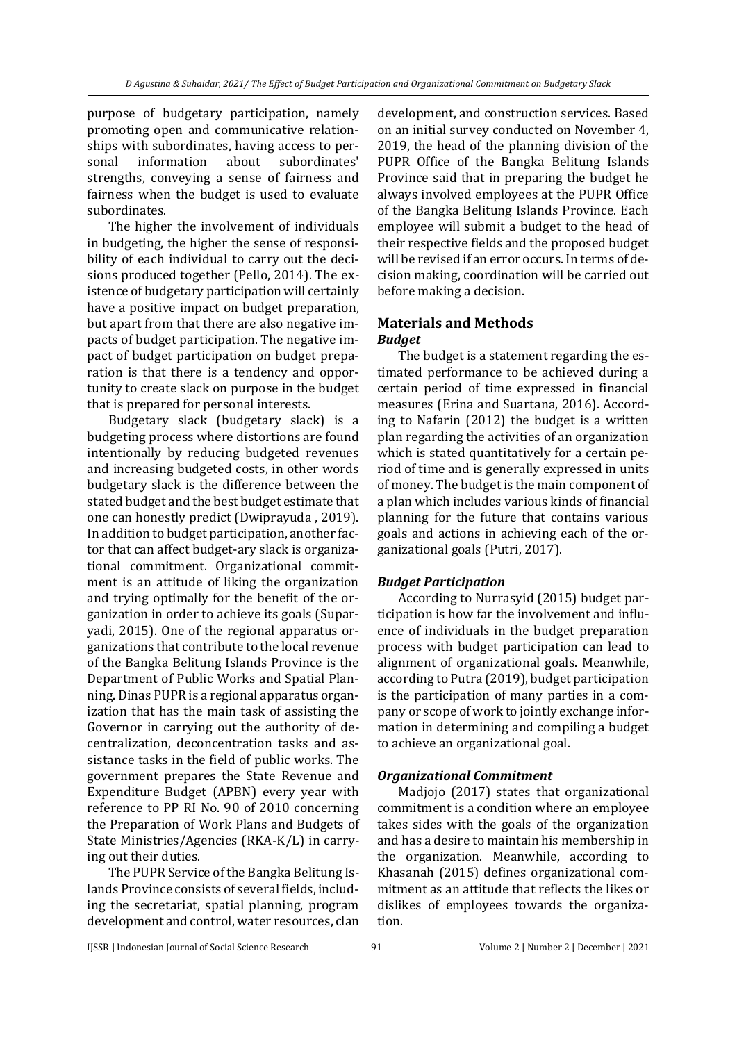purpose of budgetary participation, namely promoting open and communicative relationships with subordinates, having access to personal information about subordinates' strengths, conveying a sense of fairness and fairness when the budget is used to evaluate subordinates.

The higher the involvement of individuals in budgeting, the higher the sense of responsibility of each individual to carry out the decisions produced together (Pello, 2014). The existence of budgetary participation will certainly have a positive impact on budget preparation, but apart from that there are also negative impacts of budget participation. The negative impact of budget participation on budget preparation is that there is a tendency and opportunity to create slack on purpose in the budget that is prepared for personal interests.

Budgetary slack (budgetary slack) is a budgeting process where distortions are found intentionally by reducing budgeted revenues and increasing budgeted costs, in other words budgetary slack is the difference between the stated budget and the best budget estimate that one can honestly predict (Dwiprayuda , 2019). In addition to budget participation, another factor that can affect budget-ary slack is organizational commitment. Organizational commitment is an attitude of liking the organization and trying optimally for the benefit of the organization in order to achieve its goals (Suparyadi, 2015). One of the regional apparatus organizations that contribute to the local revenue of the Bangka Belitung Islands Province is the Department of Public Works and Spatial Planning. Dinas PUPR is a regional apparatus organization that has the main task of assisting the Governor in carrying out the authority of decentralization, deconcentration tasks and assistance tasks in the field of public works. The government prepares the State Revenue and Expenditure Budget (APBN) every year with reference to PP RI No. 90 of 2010 concerning the Preparation of Work Plans and Budgets of State Ministries/Agencies (RKA-K/L) in carrying out their duties.

The PUPR Service of the Bangka Belitung Islands Province consists of several fields, including the secretariat, spatial planning, program development and control, water resources, clan development, and construction services. Based on an initial survey conducted on November 4, 2019, the head of the planning division of the PUPR Office of the Bangka Belitung Islands Province said that in preparing the budget he always involved employees at the PUPR Office of the Bangka Belitung Islands Province. Each employee will submit a budget to the head of their respective fields and the proposed budget will be revised if an error occurs. In terms of decision making, coordination will be carried out before making a decision.

# **Materials and Methods** *Budget*

The budget is a statement regarding the estimated performance to be achieved during a certain period of time expressed in financial measures (Erina and Suartana, 2016). According to Nafarin (2012) the budget is a written plan regarding the activities of an organization which is stated quantitatively for a certain period of time and is generally expressed in units of money. The budget is the main component of a plan which includes various kinds of financial planning for the future that contains various goals and actions in achieving each of the organizational goals (Putri, 2017).

## *Budget Participation*

According to Nurrasyid (2015) budget participation is how far the involvement and influence of individuals in the budget preparation process with budget participation can lead to alignment of organizational goals. Meanwhile, according to Putra (2019), budget participation is the participation of many parties in a company or scope of work to jointly exchange information in determining and compiling a budget to achieve an organizational goal.

## *Organizational Commitment*

Madjojo (2017) states that organizational commitment is a condition where an employee takes sides with the goals of the organization and has a desire to maintain his membership in the organization. Meanwhile, according to Khasanah (2015) defines organizational commitment as an attitude that reflects the likes or dislikes of employees towards the organization.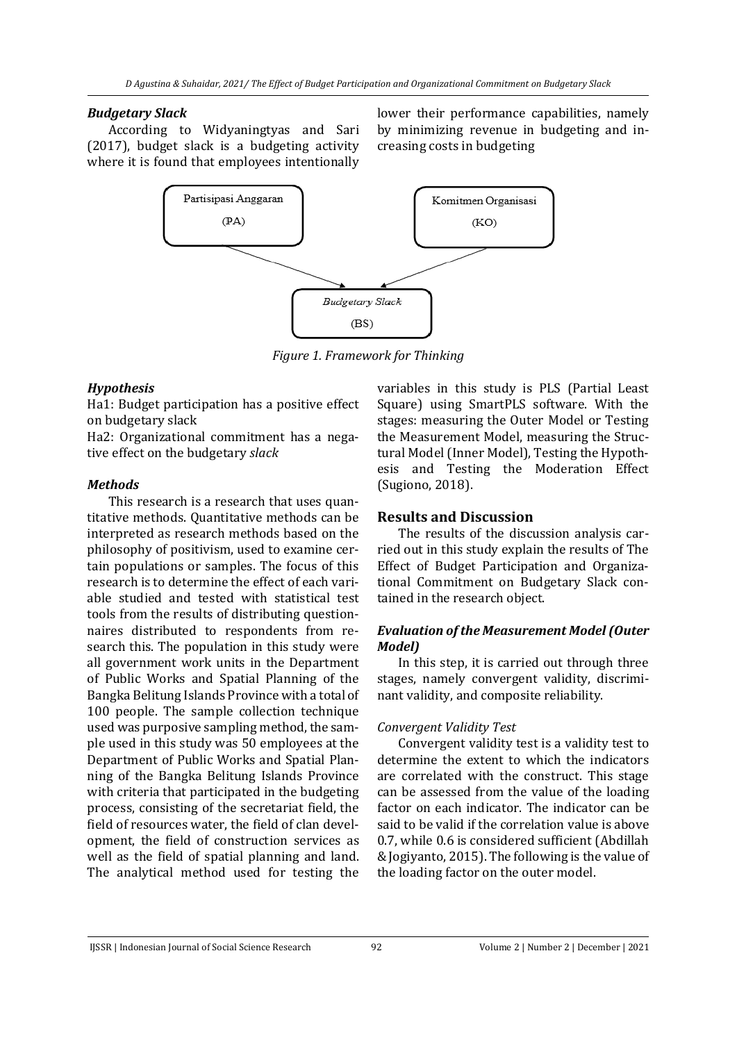### *Budgetary Slack*

According to Widyaningtyas and Sari (2017), budget slack is a budgeting activity where it is found that employees intentionally lower their performance capabilities, namely by minimizing revenue in budgeting and increasing costs in budgeting



*Figure 1. Framework for Thinking*

## *Hypothesis*

Ha1: Budget participation has a positive effect on budgetary slack

Ha2: Organizational commitment has a negative effect on the budgetary *slack*

## *Methods*

This research is a research that uses quantitative methods. Quantitative methods can be interpreted as research methods based on the philosophy of positivism, used to examine certain populations or samples. The focus of this research is to determine the effect of each variable studied and tested with statistical test tools from the results of distributing questionnaires distributed to respondents from research this. The population in this study were all government work units in the Department of Public Works and Spatial Planning of the Bangka Belitung Islands Province with a total of 100 people. The sample collection technique used was purposive sampling method, the sample used in this study was 50 employees at the Department of Public Works and Spatial Planning of the Bangka Belitung Islands Province with criteria that participated in the budgeting process, consisting of the secretariat field, the field of resources water, the field of clan development, the field of construction services as well as the field of spatial planning and land. The analytical method used for testing the variables in this study is PLS (Partial Least Square) using SmartPLS software. With the stages: measuring the Outer Model or Testing the Measurement Model, measuring the Structural Model (Inner Model), Testing the Hypothesis and Testing the Moderation Effect (Sugiono, 2018).

# **Results and Discussion**

The results of the discussion analysis carried out in this study explain the results of The Effect of Budget Participation and Organizational Commitment on Budgetary Slack contained in the research object.

## *Evaluation of the Measurement Model (Outer Model)*

In this step, it is carried out through three stages, namely convergent validity, discriminant validity, and composite reliability.

## *Convergent Validity Test*

Convergent validity test is a validity test to determine the extent to which the indicators are correlated with the construct. This stage can be assessed from the value of the loading factor on each indicator. The indicator can be said to be valid if the correlation value is above 0.7, while 0.6 is considered sufficient (Abdillah & Jogiyanto, 2015). The following is the value of the loading factor on the outer model.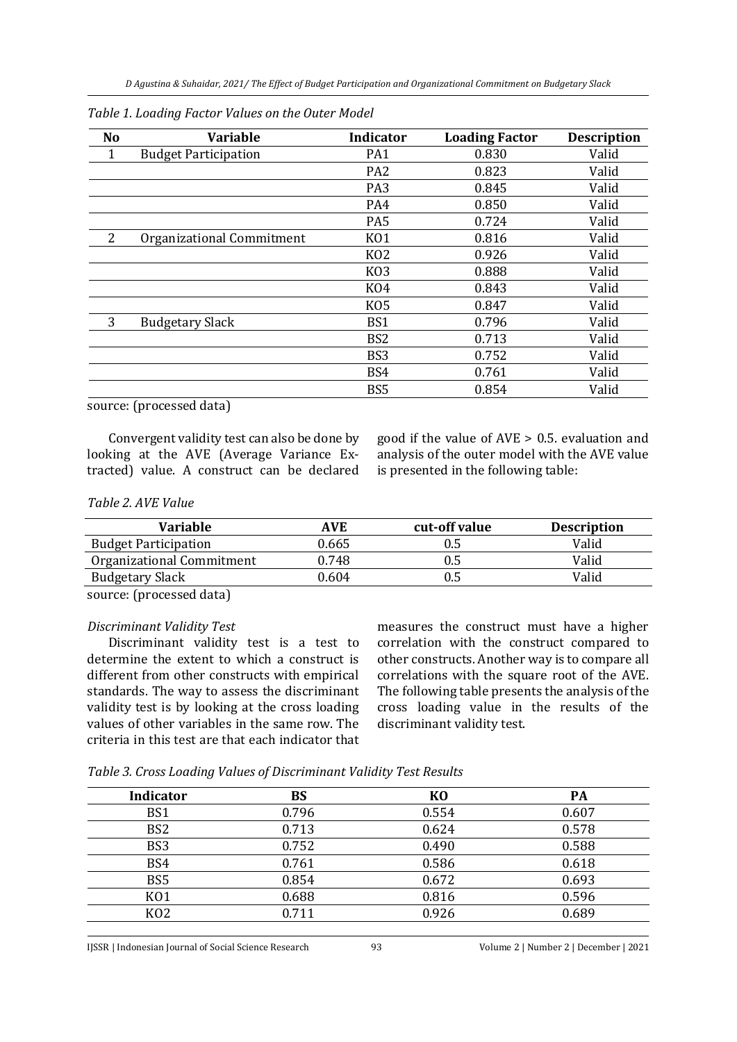| N <sub>o</sub> | <b>Variable</b>             | <b>Indicator</b> | <b>Loading Factor</b> | <b>Description</b> |
|----------------|-----------------------------|------------------|-----------------------|--------------------|
| 1              | <b>Budget Participation</b> | PA1              | 0.830                 | Valid              |
|                |                             | PA <sub>2</sub>  | 0.823                 | Valid              |
|                |                             | PA <sub>3</sub>  | 0.845                 | Valid              |
|                |                             | PA4              | 0.850                 | Valid              |
|                |                             | PA <sub>5</sub>  | 0.724                 | Valid              |
| $\overline{2}$ | Organizational Commitment   | K <sub>01</sub>  | 0.816                 | Valid              |
|                |                             | K <sub>02</sub>  | 0.926                 | Valid              |
|                |                             | K <sub>03</sub>  | 0.888                 | Valid              |
|                |                             | K <sub>04</sub>  | 0.843                 | Valid              |
|                |                             | K <sub>05</sub>  | 0.847                 | Valid              |
| 3              | <b>Budgetary Slack</b>      | BS1              | 0.796                 | Valid              |
|                |                             | BS <sub>2</sub>  | 0.713                 | Valid              |
|                |                             | BS <sub>3</sub>  | 0.752                 | Valid              |
|                |                             | BS4              | 0.761                 | Valid              |
|                |                             | BS <sub>5</sub>  | 0.854                 | Valid              |

| Table 1. Loading Factor Values on the Outer Model |  |  |
|---------------------------------------------------|--|--|
|---------------------------------------------------|--|--|

source: (processed data)

Convergent validity test can also be done by looking at the AVE (Average Variance Extracted) value. A construct can be declared good if the value of AVE > 0.5. evaluation and analysis of the outer model with the AVE value is presented in the following table:

#### *Table 2. AVE Value*

| AVE   | cut-off value | <b>Description</b> |
|-------|---------------|--------------------|
| 0.665 | 0.5           | Valid              |
| 0.748 | 0.5           | Valid              |
| 0.604 | 0.5           | Valid              |
|       |               |                    |

source: (processed data)

#### *Discriminant Validity Test*

Discriminant validity test is a test to determine the extent to which a construct is different from other constructs with empirical standards. The way to assess the discriminant validity test is by looking at the cross loading values of other variables in the same row. The criteria in this test are that each indicator that measures the construct must have a higher correlation with the construct compared to other constructs. Another way is to compare all correlations with the square root of the AVE. The following table presents the analysis of the cross loading value in the results of the discriminant validity test.

*Table 3. Cross Loading Values of Discriminant Validity Test Results*

| <b>Indicator</b> | BS    | K <sub>0</sub> | <b>PA</b> |
|------------------|-------|----------------|-----------|
| BS1              | 0.796 | 0.554          | 0.607     |
| BS <sub>2</sub>  | 0.713 | 0.624          | 0.578     |
| BS3              | 0.752 | 0.490          | 0.588     |
| BS4              | 0.761 | 0.586          | 0.618     |
| BS <sub>5</sub>  | 0.854 | 0.672          | 0.693     |
| K <sub>01</sub>  | 0.688 | 0.816          | 0.596     |
| K <sub>02</sub>  | 0.711 | 0.926          | 0.689     |
|                  |       |                |           |

IJSSR | Indonesian Journal of Social Science Research 93 Volume 2 | Number 2 | December | 2021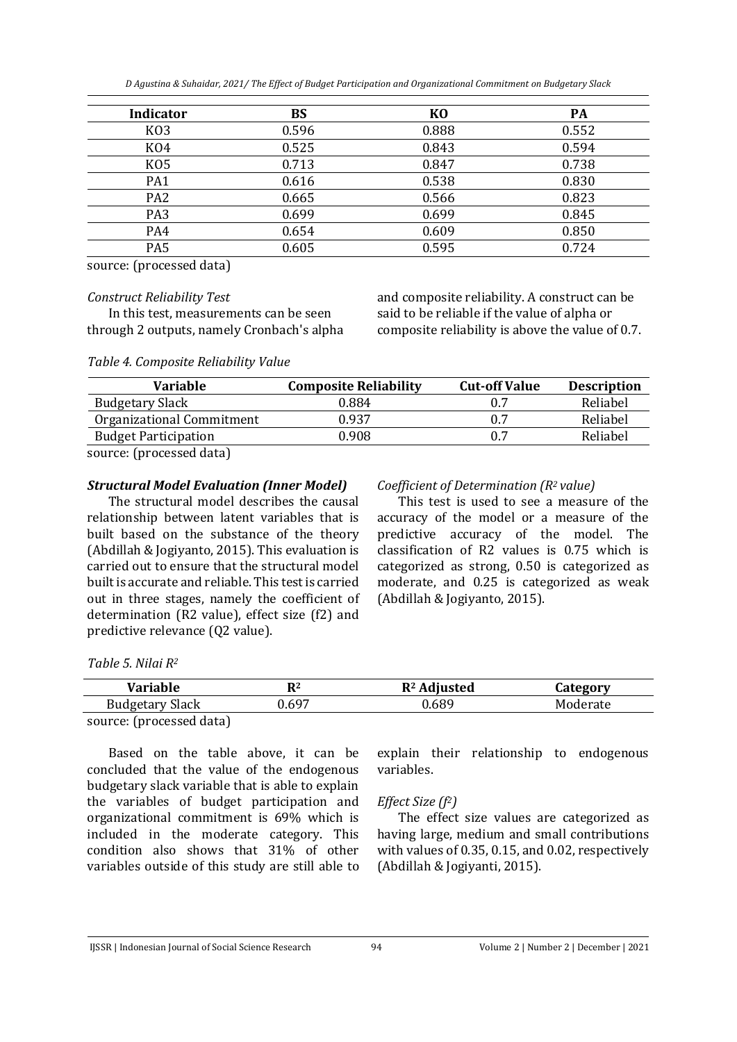*D Agustina & Suhaidar, 2021/ The Effect of Budget Participation and Organizational Commitment on Budgetary Slack*

| <b>Indicator</b> | <b>BS</b> | K <sub>0</sub> | PA    |
|------------------|-----------|----------------|-------|
| K <sub>O</sub> 3 | 0.596     | 0.888          | 0.552 |
| K <sub>04</sub>  | 0.525     | 0.843          | 0.594 |
| K <sub>05</sub>  | 0.713     | 0.847          | 0.738 |
| PA1              | 0.616     | 0.538          | 0.830 |
| PA <sub>2</sub>  | 0.665     | 0.566          | 0.823 |
| PA <sub>3</sub>  | 0.699     | 0.699          | 0.845 |
| PA4              | 0.654     | 0.609          | 0.850 |
| PA <sub>5</sub>  | 0.605     | 0.595          | 0.724 |

source: (processed data)

#### *Construct Reliability Test*

In this test, measurements can be seen through 2 outputs, namely Cronbach's alpha and composite reliability. A construct can be said to be reliable if the value of alpha or composite reliability is above the value of 0.7.

*Table 4. Composite Reliability Value*

| Variable                    | <b>Composite Reliability</b> | <b>Cut-off Value</b> | <b>Description</b> |
|-----------------------------|------------------------------|----------------------|--------------------|
| <b>Budgetary Slack</b>      | 0.884                        |                      | Reliabel           |
| Organizational Commitment   | 0.937                        |                      | Reliabel           |
| <b>Budget Participation</b> | 0.908                        |                      | Reliabel           |
|                             |                              |                      |                    |

source: (processed data)

### *Structural Model Evaluation (Inner Model)*

The structural model describes the causal relationship between latent variables that is built based on the substance of the theory (Abdillah & Jogiyanto, 2015). This evaluation is carried out to ensure that the structural model built is accurate and reliable. This test is carried out in three stages, namely the coefficient of determination (R2 value), effect size (f2) and predictive relevance (Q2 value).

### *Coefficient of Determination (R2 value)*

This test is used to see a measure of the accuracy of the model or a measure of the predictive accuracy of the model. The classification of R2 values is 0.75 which is categorized as strong, 0.50 is categorized as moderate, and 0.25 is categorized as weak (Abdillah & Jogiyanto, 2015).

*Table 5. Nilai R<sup>2</sup>*

| Variable                 | $\mathbf{R}^2$ | $R2$ Adjusted | Category |
|--------------------------|----------------|---------------|----------|
| <b>Budgetary Slack</b>   | J.697          | 0.689         | Moderate |
| source: (processed data) |                |               |          |

Based on the table above, it can be concluded that the value of the endogenous budgetary slack variable that is able to explain the variables of budget participation and organizational commitment is 69% which is included in the moderate category. This condition also shows that 31% of other variables outside of this study are still able to

explain their relationship to endogenous variables.

## *Effect Size (f2)*

The effect size values are categorized as having large, medium and small contributions with values of 0.35, 0.15, and 0.02, respectively (Abdillah & Jogiyanti, 2015).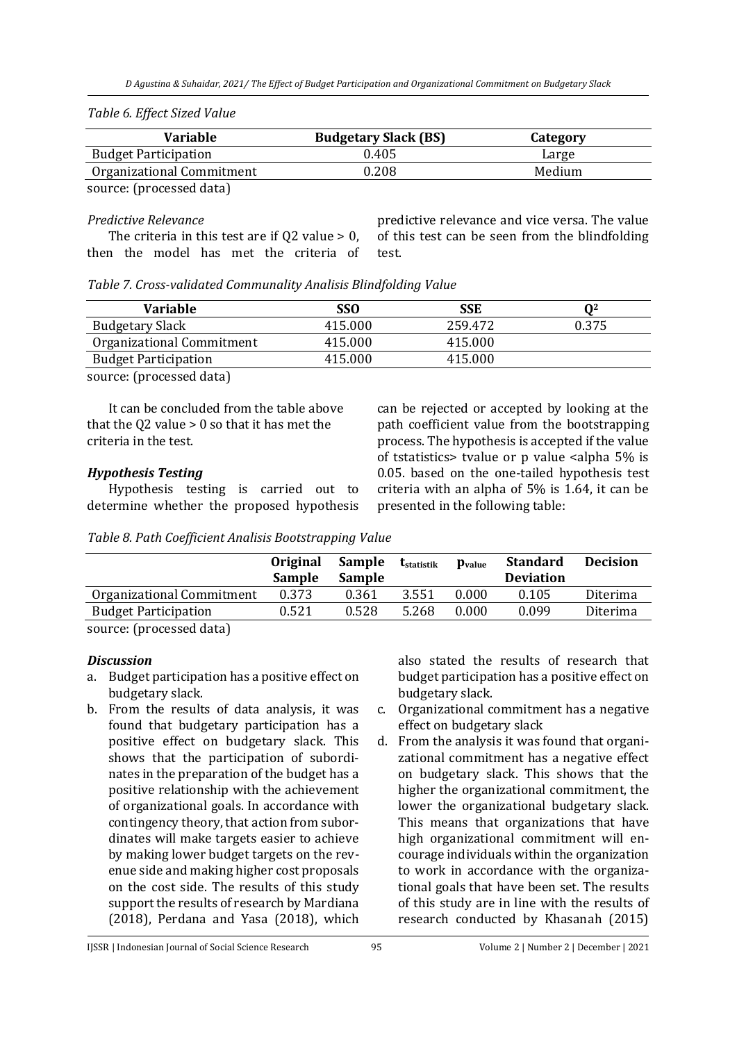| Table 6. Effect Sized Value |  |
|-----------------------------|--|
|                             |  |

| Large  |
|--------|
| Medium |
|        |

source: (processed data)

### *Predictive Relevance*

The criteria in this test are if  $Q2$  value > 0, then the model has met the criteria of predictive relevance and vice versa. The value of this test can be seen from the blindfolding test.

*Table 7. Cross-validated Communality Analisis Blindfolding Value*

| <b>Variable</b>             | SSO     | SSE     | በ2    |
|-----------------------------|---------|---------|-------|
| <b>Budgetary Slack</b>      | 415.000 | 259.472 | 0.375 |
| Organizational Commitment   | 415.000 | 415.000 |       |
| <b>Budget Participation</b> | 415.000 | 415.000 |       |

source: (processed data)

It can be concluded from the table above that the Q2 value  $> 0$  so that it has met the criteria in the test.

# *Hypothesis Testing*

Hypothesis testing is carried out to determine whether the proposed hypothesis

can be rejected or accepted by looking at the path coefficient value from the bootstrapping process. The hypothesis is accepted if the value of tstatistics> tvalue or p value <alpha 5% is 0.05. based on the one-tailed hypothesis test criteria with an alpha of 5% is 1.64, it can be presented in the following table:

*Table 8. Path Coefficient Analisis Bootstrapping Value*

|                             | <b>Original</b><br><b>Sample</b> | Sample<br>Sample | t <sub>statistik</sub> | $pvalue$ | <b>Standard</b><br><b>Deviation</b> | <b>Decision</b> |
|-----------------------------|----------------------------------|------------------|------------------------|----------|-------------------------------------|-----------------|
| Organizational Commitment   | 0.373                            | 0.361            | 3.551                  | 0.000    | 0.105                               | Diterima        |
| <b>Budget Participation</b> | 0.521                            | 0.528            | 5.268                  | 0.000    | 0.099                               | Diterima        |
| sanna - Churchead Jake)     |                                  |                  |                        |          |                                     |                 |

source: (processed data)

# *Discussion*

- a. Budget participation has a positive effect on budgetary slack.
- b. From the results of data analysis, it was found that budgetary participation has a positive effect on budgetary slack. This shows that the participation of subordinates in the preparation of the budget has a positive relationship with the achievement of organizational goals. In accordance with contingency theory, that action from subordinates will make targets easier to achieve by making lower budget targets on the revenue side and making higher cost proposals on the cost side. The results of this study support the results of research by Mardiana (2018), Perdana and Yasa (2018), which

also stated the results of research that budget participation has a positive effect on budgetary slack.

- c. Organizational commitment has a negative effect on budgetary slack
- d. From the analysis it was found that organizational commitment has a negative effect on budgetary slack. This shows that the higher the organizational commitment, the lower the organizational budgetary slack. This means that organizations that have high organizational commitment will encourage individuals within the organization to work in accordance with the organizational goals that have been set. The results of this study are in line with the results of research conducted by Khasanah (2015)